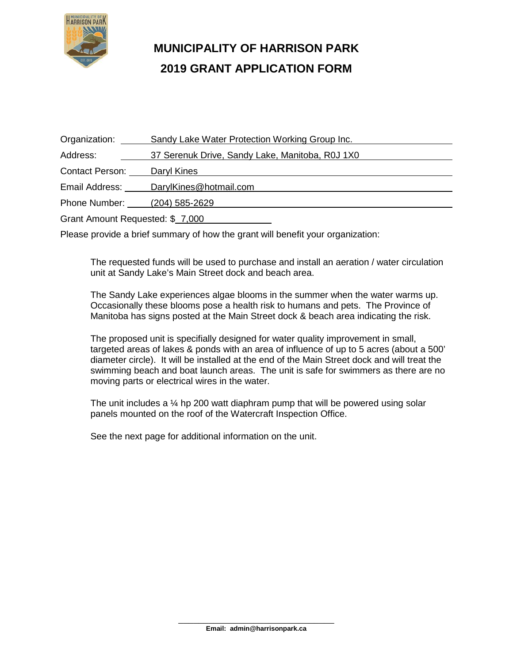

## **MUNICIPALITY OF HARRISON PARK 2019 GRANT APPLICATION FORM**

| Organization:                    | Sandy Lake Water Protection Working Group Inc.  |
|----------------------------------|-------------------------------------------------|
| Address:                         | 37 Serenuk Drive, Sandy Lake, Manitoba, R0J 1X0 |
| <b>Contact Person:</b>           | Daryl Kines                                     |
| Email Address:                   | DarylKines@hotmail.com                          |
| Phone Number:                    | (204) 585-2629                                  |
| Grant Amount Requested: \$ 7,000 |                                                 |

Please provide a brief summary of how the grant will benefit your organization:

The requested funds will be used to purchase and install an aeration / water circulation unit at Sandy Lake's Main Street dock and beach area.

The Sandy Lake experiences algae blooms in the summer when the water warms up. Occasionally these blooms pose a health risk to humans and pets. The Province of Manitoba has signs posted at the Main Street dock & beach area indicating the risk.

The proposed unit is specifially designed for water quality improvement in small, targeted areas of lakes & ponds with an area of influence of up to 5 acres (about a 500' diameter circle). It will be installed at the end of the Main Street dock and will treat the swimming beach and boat launch areas. The unit is safe for swimmers as there are no moving parts or electrical wires in the water.

The unit includes a  $\frac{1}{4}$  hp 200 watt diaphram pump that will be powered using solar panels mounted on the roof of the Watercraft Inspection Office.

See the next page for additional information on the unit.